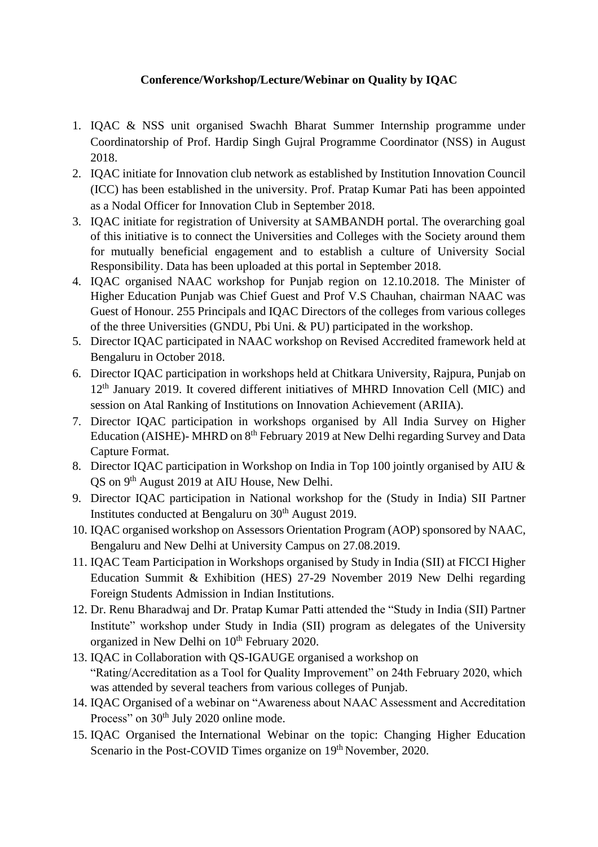## **Conference/Workshop/Lecture/Webinar on Quality by IQAC**

- 1. IQAC & NSS unit organised Swachh Bharat Summer Internship programme under Coordinatorship of Prof. Hardip Singh Gujral Programme Coordinator (NSS) in August 2018.
- 2. IQAC initiate for Innovation club network as established by Institution Innovation Council (ICC) has been established in the university. Prof. Pratap Kumar Pati has been appointed as a Nodal Officer for Innovation Club in September 2018.
- 3. IQAC initiate for registration of University at SAMBANDH portal. The overarching goal of this initiative is to connect the Universities and Colleges with the Society around them for mutually beneficial engagement and to establish a culture of University Social Responsibility. Data has been uploaded at this portal in September 2018.
- 4. IQAC organised NAAC workshop for Punjab region on 12.10.2018. The Minister of Higher Education Punjab was Chief Guest and Prof V.S Chauhan, chairman NAAC was Guest of Honour. 255 Principals and IQAC Directors of the colleges from various colleges of the three Universities (GNDU, Pbi Uni. & PU) participated in the workshop.
- 5. Director IQAC participated in NAAC workshop on Revised Accredited framework held at Bengaluru in October 2018.
- 6. Director IQAC participation in workshops held at Chitkara University, Rajpura, Punjab on 12<sup>th</sup> January 2019. It covered different initiatives of MHRD Innovation Cell (MIC) and session on Atal Ranking of Institutions on Innovation Achievement (ARIIA).
- 7. Director IQAC participation in workshops organised by All India Survey on Higher Education (AISHE)- MHRD on 8<sup>th</sup> February 2019 at New Delhi regarding Survey and Data Capture Format.
- 8. Director IQAC participation in Workshop on India in Top 100 jointly organised by AIU & QS on 9<sup>th</sup> August 2019 at AIU House, New Delhi.
- 9. Director IQAC participation in National workshop for the (Study in India) SII Partner Institutes conducted at Bengaluru on  $30<sup>th</sup>$  August 2019.
- 10. IQAC organised workshop on Assessors Orientation Program (AOP) sponsored by NAAC, Bengaluru and New Delhi at University Campus on 27.08.2019.
- 11. IQAC Team Participation in Workshops organised by Study in India (SII) at FICCI Higher Education Summit & Exhibition (HES) 27-29 November 2019 New Delhi regarding Foreign Students Admission in Indian Institutions.
- 12. Dr. Renu Bharadwaj and Dr. Pratap Kumar Patti attended the "Study in India (SII) Partner Institute" workshop under Study in India (SII) program as delegates of the University organized in New Delhi on 10<sup>th</sup> February 2020.
- 13. IQAC in Collaboration with QS-IGAUGE organised a workshop on "Rating/Accreditation as a Tool for Quality Improvement" on 24th February 2020, which was attended by several teachers from various colleges of Punjab.
- 14. IQAC Organised of a webinar on "Awareness about NAAC Assessment and Accreditation Process" on 30<sup>th</sup> July 2020 online mode.
- 15. IQAC Organised the International Webinar on the topic: Changing Higher Education Scenario in the Post-COVID Times organize on 19<sup>th</sup> November, 2020.